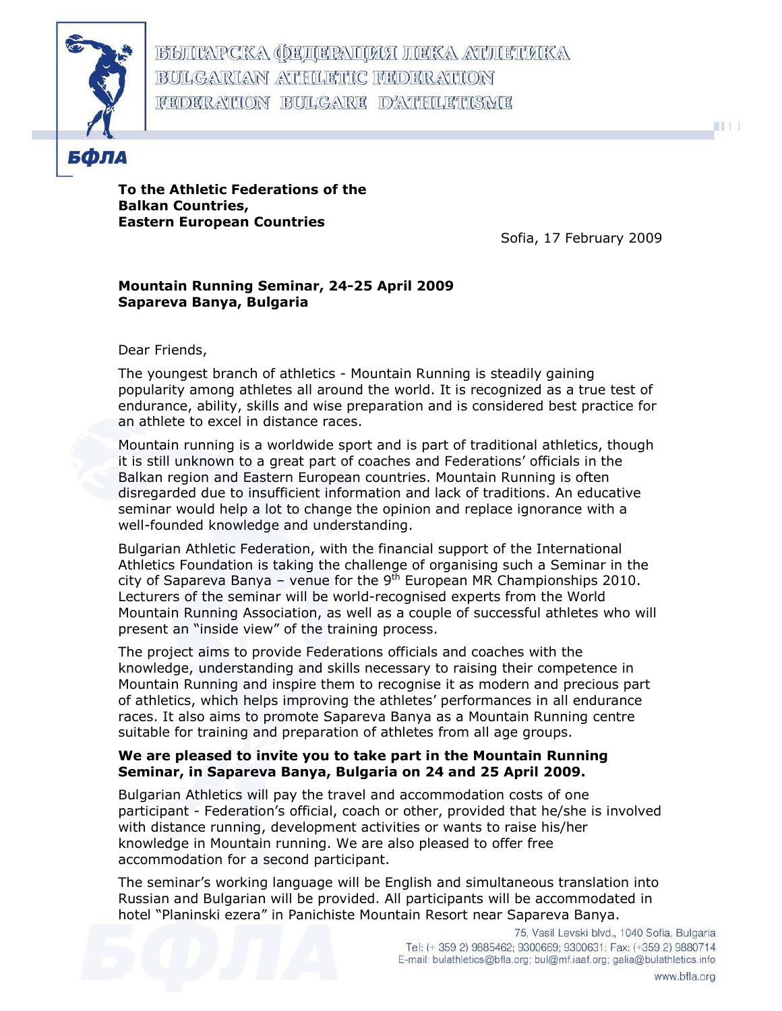

**BBILCAPCKA OEILEPALLICA HEKA ATHETIKKA** BULGARIAN ATHLETIC FEDERATION FEDERATION BULGARE D'ATHLETISME



To the Athletic Federations of the Balkan Countries, Eastern European Countries

Sofia, 17 February 2009

## Mountain Running Seminar, 24-25 April 2009 Sapareva Banya, Bulgaria

## Dear Friends,

The youngest branch of athletics - Mountain Running is steadily gaining popularity among athletes all around the world. It is recognized as a true test of endurance, ability, skills and wise preparation and is considered best practice for an athlete to excel in distance races.

Mountain running is a worldwide sport and is part of traditional athletics, though it is still unknown to a great part of coaches and Federations' officials in the Balkan region and Eastern European countries. Mountain Running is often disregarded due to insufficient information and lack of traditions. An educative seminar would help a lot to change the opinion and replace ignorance with a well-founded knowledge and understanding.

Bulgarian Athletic Federation, with the financial support of the International Athletics Foundation is taking the challenge of organising such a Seminar in the city of Sapareva Banya – venue for the  $9<sup>th</sup>$  European MR Championships 2010. Lecturers of the seminar will be world-recognised experts from the World Mountain Running Association, as well as a couple of successful athletes who will present an "inside view" of the training process.

The project aims to provide Federations officials and coaches with the knowledge, understanding and skills necessary to raising their competence in Mountain Running and inspire them to recognise it as modern and precious part of athletics, which helps improving the athletes' performances in all endurance races. It also aims to promote Sapareva Banya as a Mountain Running centre suitable for training and preparation of athletes from all age groups.

## We are pleased to invite you to take part in the Mountain Running Seminar, in Sapareva Banya, Bulgaria on 24 and 25 April 2009.

Bulgarian Athletics will pay the travel and accommodation costs of one participant - Federation's official, coach or other, provided that he/she is involved with distance running, development activities or wants to raise his/her knowledge in Mountain running. We are also pleased to offer free accommodation for a second participant.

The seminar's working language will be English and simultaneous translation into Russian and Bulgarian will be provided. All participants will be accommodated in hotel "Planinski ezera" in Panichiste Mountain Resort near Sapareva Banya.